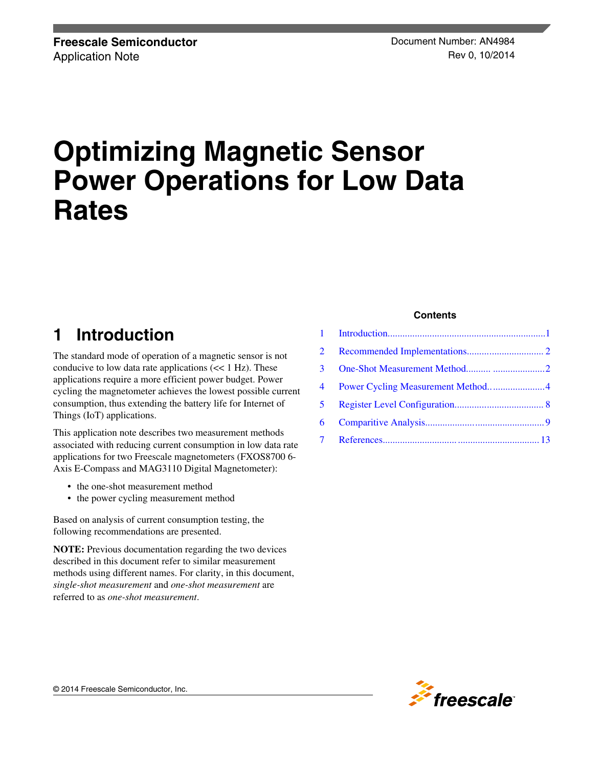# **Optimizing Magnetic Sensor Power Operations for Low Data Rates**

## **1 Introduction**

The standard mode of operation of a magnetic sensor is not conducive to low data rate applications  $\ll 1$  Hz). These applications require a more efficient power budget. Power cycling the magnetometer achieves the lowest possible current consumption, thus extending the battery life for Internet of Things (IoT) applications.

This application note describes two measurement methods associated with reducing current consumption in low data rate applications for two Freescale magnetometers (FXOS8700 6- Axis E-Compass and MAG3110 Digital Magnetometer):

- the one-shot measurement method
- the power cycling measurement method

Based on analysis of current consumption testing, the following recommendations are presented.

**NOTE:** Previous documentation regarding the two devices described in this document refer to similar measurement methods using different names. For clarity, in this document, *single-shot measurement* and *one-shot measurement* are referred to as *one-shot measurement*.

#### **Contents**

| 2              |                                   |  |
|----------------|-----------------------------------|--|
| 3              |                                   |  |
| $\overline{4}$ | Power Cycling Measurement Method4 |  |
| $5 -$          |                                   |  |
| 6              |                                   |  |
|                |                                   |  |

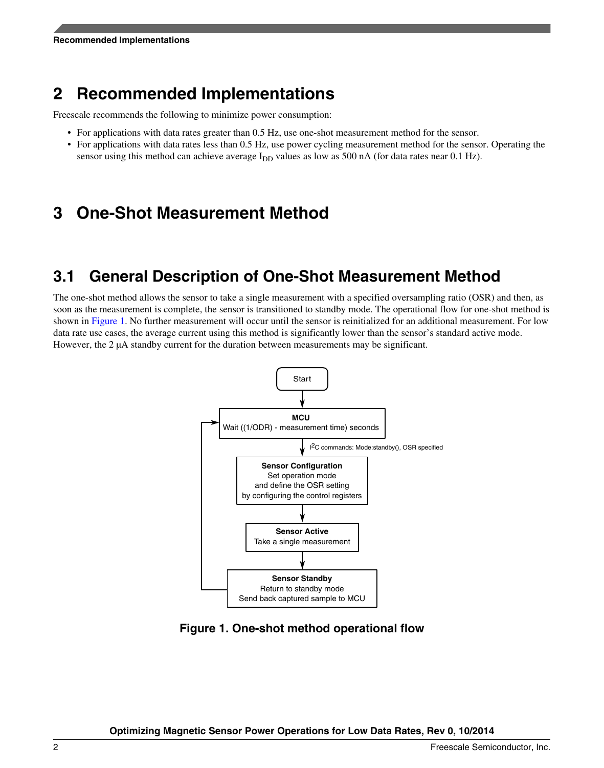## <span id="page-1-0"></span>**2 Recommended Implementations**

Freescale recommends the following to minimize power consumption:

- For applications with data rates greater than 0.5 Hz, use one-shot measurement method for the sensor.
- For applications with data rates less than 0.5 Hz, use power cycling measurement method for the sensor. Operating the sensor using this method can achieve average  $I_{DD}$  values as low as 500 nA (for data rates near 0.1 Hz).

## **3 One-Shot Measurement Method**

### **3.1 General Description of One-Shot Measurement Method**

The one-shot method allows the sensor to take a single measurement with a specified oversampling ratio (OSR) and then, as soon as the measurement is complete, the sensor is transitioned to standby mode. The operational flow for one-shot method is shown in Figure 1. No further measurement will occur until the sensor is reinitialized for an additional measurement. For low data rate use cases, the average current using this method is significantly lower than the sensor's standard active mode. However, the 2  $\mu$ A standby current for the duration between measurements may be significant.



**Figure 1. One-shot method operational flow**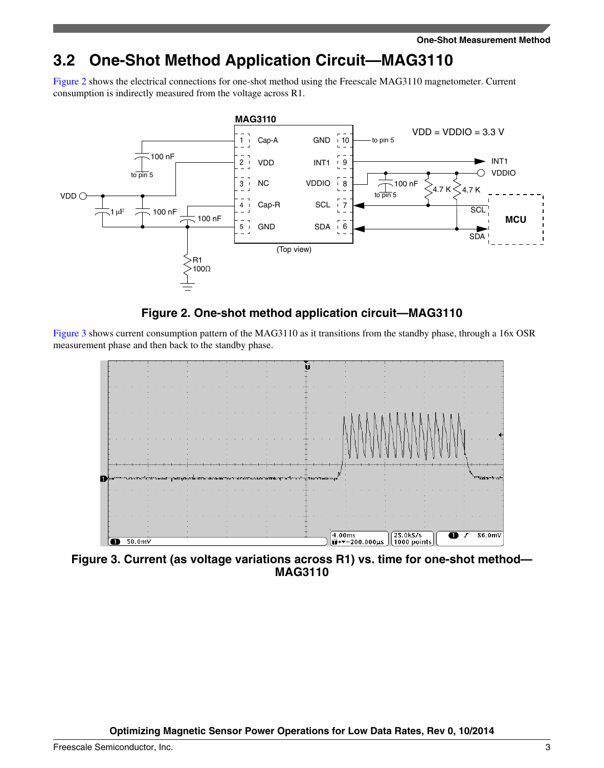## <span id="page-2-0"></span>**3.2 One-Shot Method Application Circuit—MAG3110**

Figure 2 shows the electrical connections for one-shot method using the Freescale MAG3110 magnetometer. Current consumption is indirectly measured from the voltage across R1.



### **Figure 2. One-shot method application circuit—MAG3110**

Figure 3 shows current consumption pattern of the MAG3110 as it transitions from the standby phase, through a 16x OSR measurement phase and then back to the standby phase.



**Figure 3. Current (as voltage variations across R1) vs. time for one-shot method— MAG3110**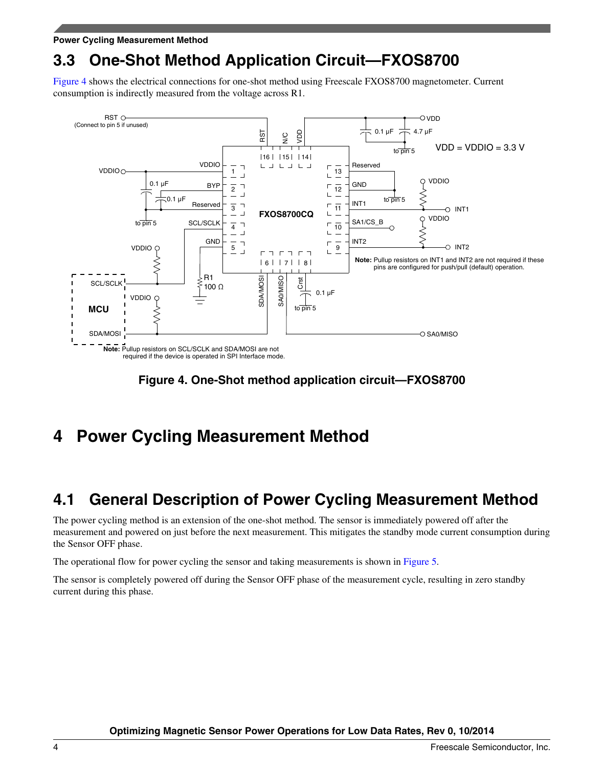<span id="page-3-0"></span>**Power Cycling Measurement Method**

## **3.3 One-Shot Method Application Circuit—FXOS8700**

Figure 4 shows the electrical connections for one-shot method using Freescale FXOS8700 magnetometer. Current consumption is indirectly measured from the voltage across R1.



**Figure 4. One-Shot method application circuit—FXOS8700**

## **4 Power Cycling Measurement Method**

### **4.1 General Description of Power Cycling Measurement Method**

The power cycling method is an extension of the one-shot method. The sensor is immediately powered off after the measurement and powered on just before the next measurement. This mitigates the standby mode current consumption during the Sensor OFF phase.

The operational flow for power cycling the sensor and taking measurements is shown in [Figure 5.](#page-4-0)

The sensor is completely powered off during the Sensor OFF phase of the measurement cycle, resulting in zero standby current during this phase.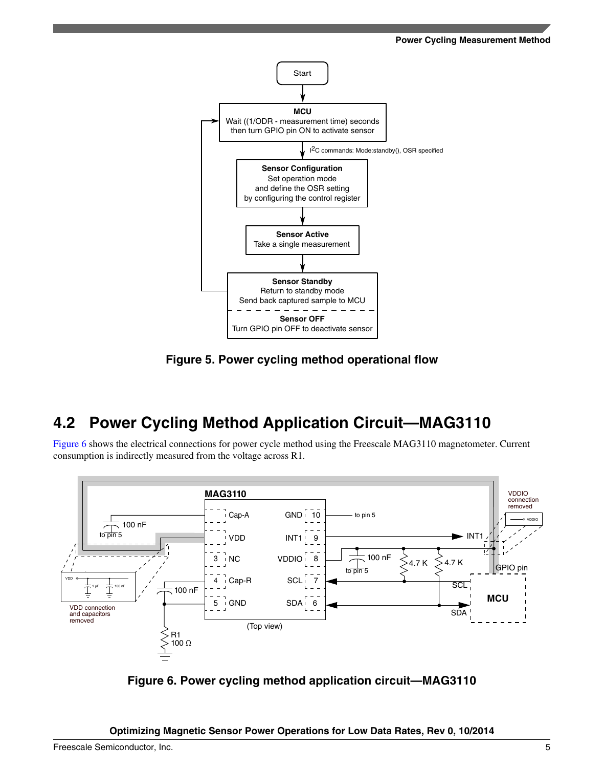<span id="page-4-0"></span>

**Figure 5. Power cycling method operational flow**

## **4.2 Power Cycling Method Application Circuit—MAG3110**

Figure 6 shows the electrical connections for power cycle method using the Freescale MAG3110 magnetometer. Current consumption is indirectly measured from the voltage across R1.



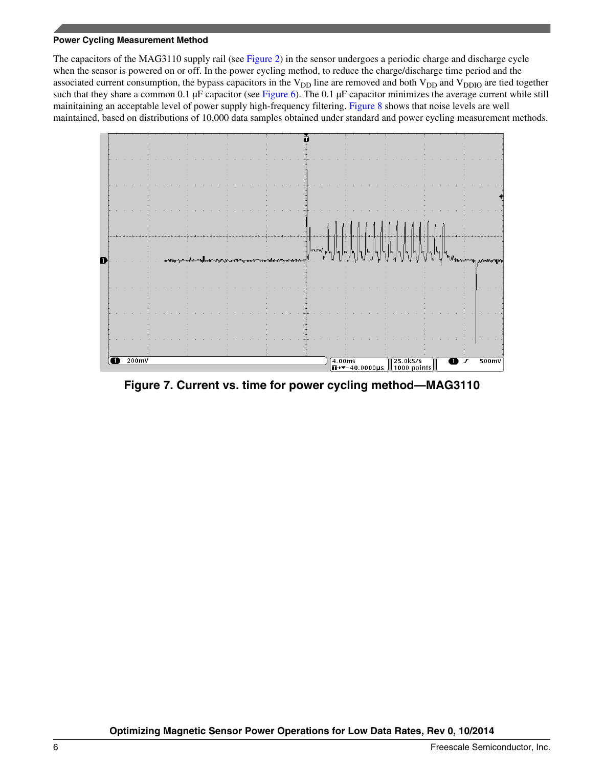#### **Power Cycling Measurement Method**

The capacitors of the MAG3110 supply rail (see [Figure 2\)](#page-2-0) in the sensor undergoes a periodic charge and discharge cycle when the sensor is powered on or off. In the power cycling method, to reduce the charge/discharge time period and the associated current consumption, the bypass capacitors in the  $V_{DD}$  line are removed and both  $V_{DD}$  and  $V_{DDIO}$  are tied together such that they share a common 0.1  $\mu$ F capacitor (see [Figure 6\)](#page-4-0). The 0.1  $\mu$ F capacitor minimizes the average current while still mainitaining an acceptable level of power supply high-frequency filtering. [Figure 8](#page-6-0) shows that noise levels are well maintained, based on distributions of 10,000 data samples obtained under standard and power cycling measurement methods.



**Figure 7. Current vs. time for power cycling method—MAG3110**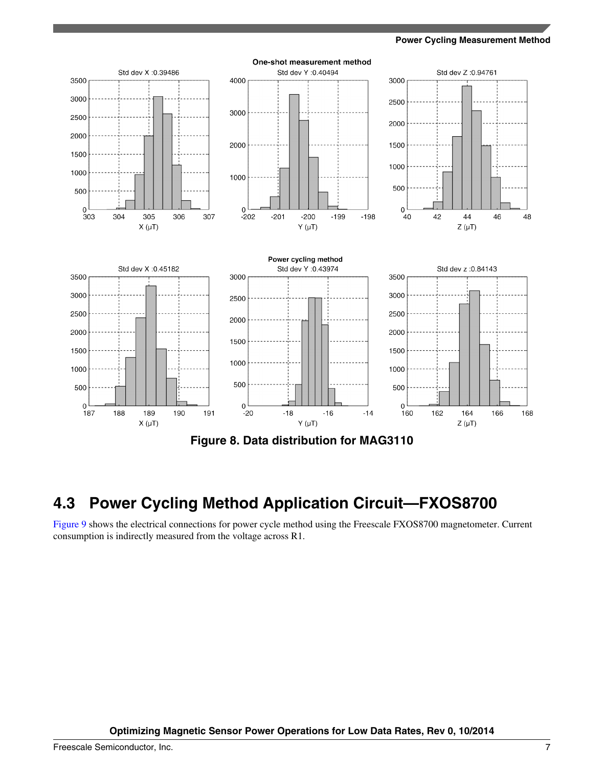**Power Cycling Measurement Method**

<span id="page-6-0"></span>

### **4.3 Power Cycling Method Application Circuit—FXOS8700**

[Figure 9](#page-7-0) shows the electrical connections for power cycle method using the Freescale FXOS8700 magnetometer. Current consumption is indirectly measured from the voltage across R1.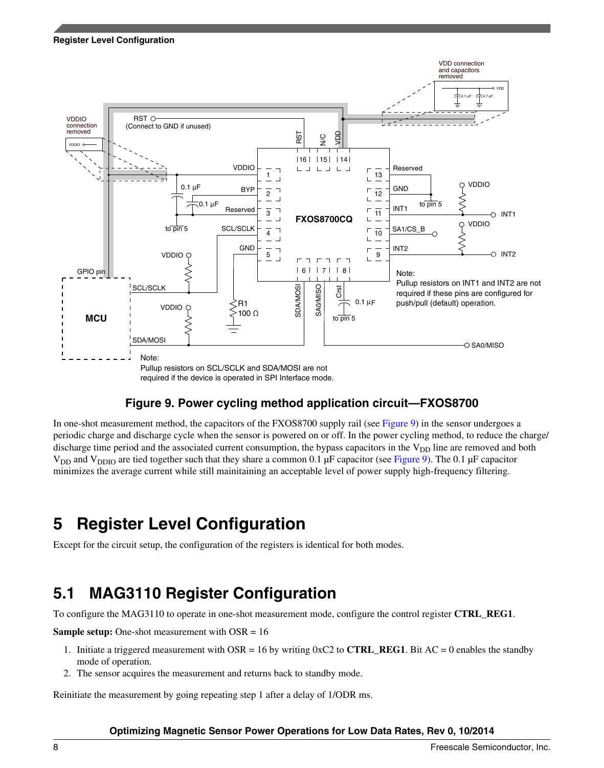<span id="page-7-0"></span>

### **Figure 9. Power cycling method application circuit—FXOS8700**

In one-shot measurement method, the capacitors of the FXOS8700 supply rail (see Figure 9) in the sensor undergoes a periodic charge and discharge cycle when the sensor is powered on or off. In the power cycling method, to reduce the charge/ discharge time period and the associated current consumption, the bypass capacitors in the  $V_{DD}$  line are removed and both  $V_{DD}$  and  $V_{DDIO}$  are tied together such that they share a common 0.1 µF capacitor (see Figure 9). The 0.1 µF capacitor minimizes the average current while still mainitaining an acceptable level of power supply high-frequency filtering.

## **5 Register Level Configuration**

Except for the circuit setup, the configuration of the registers is identical for both modes.

## **5.1 MAG3110 Register Configuration**

To configure the MAG3110 to operate in one-shot measurement mode, configure the control register **CTRL\_REG1**.

**Sample setup:** One-shot measurement with OSR = 16

- 1. Initiate a triggered measurement with OSR = 16 by writing  $0 \times C2$  to **CTRL\_REG1**. Bit AC = 0 enables the standby mode of operation.
- 2. The sensor acquires the measurement and returns back to standby mode.

Reinitiate the measurement by going repeating step 1 after a delay of 1/ODR ms.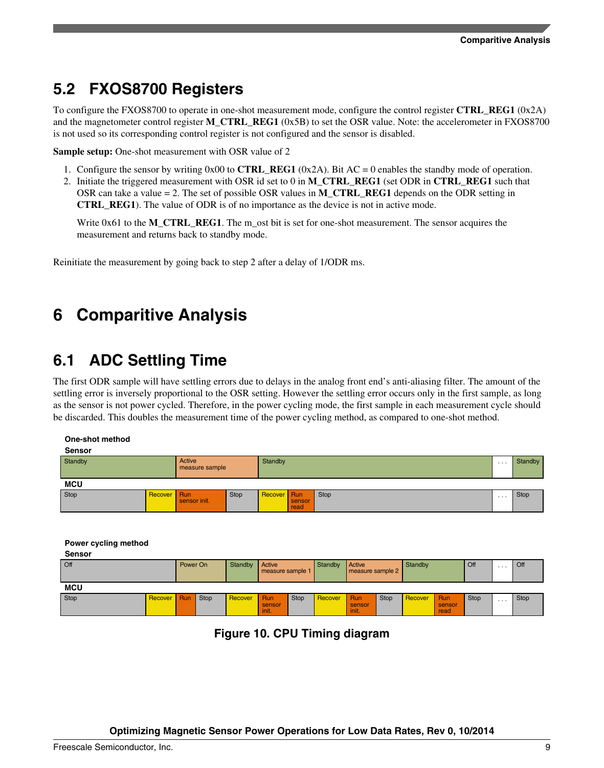## <span id="page-8-0"></span>**5.2 FXOS8700 Registers**

To configure the FXOS8700 to operate in one-shot measurement mode, configure the control register **CTRL\_REG1** (0x2A) and the magnetometer control register **M\_CTRL\_REG1** (0x5B) to set the OSR value. Note: the accelerometer in FXOS8700 is not used so its corresponding control register is not configured and the sensor is disabled.

**Sample setup:** One-shot measurement with OSR value of 2

- 1. Configure the sensor by writing 0x00 to **CTRL\_REG1** (0x2A). Bit AC = 0 enables the standby mode of operation.
- 2. Initiate the triggered measurement with OSR id set to 0 in **M\_CTRL\_REG1** (set ODR in **CTRL\_REG1** such that OSR can take a value = 2. The set of possible OSR values in **M\_CTRL\_REG1** depends on the ODR setting in **CTRL\_REG1**). The value of ODR is of no importance as the device is not in active mode.

Write 0x61 to the **M\_CTRL\_REG1**. The m\_ost bit is set for one-shot measurement. The sensor acquires the measurement and returns back to standby mode.

Reinitiate the measurement by going back to step 2 after a delay of 1/ODR ms.

## **6 Comparitive Analysis**

### **6.1 ADC Settling Time**

The first ODR sample will have settling errors due to delays in the analog front end's anti-aliasing filter. The amount of the settling error is inversely proportional to the OSR setting. However the settling error occurs only in the first sample, as long as the sensor is not power cycled. Therefore, in the power cycling mode, the first sample in each measurement cycle should be discarded. This doubles the measurement time of the power cycling method, as compared to one-shot method.

#### **One-shot method**

| <b>Sensor</b> |             |                          |         |             |                |      |   |      |  |  |
|---------------|-------------|--------------------------|---------|-------------|----------------|------|---|------|--|--|
| Standby       |             | Active<br>measure sample | Standby |             |                |      |   |      |  |  |
| <b>MCU</b>    |             |                          |         |             |                |      |   |      |  |  |
| Stop          | Recover Run | sensor init.             | Stop    | Recover Run | sensor<br>read | Stop | . | Stop |  |  |

**Power cycling method**

| <b>Sensor</b> |         |          |             |         |                            |      |         |                            |             |         |                       |             |          |      |
|---------------|---------|----------|-------------|---------|----------------------------|------|---------|----------------------------|-------------|---------|-----------------------|-------------|----------|------|
| Off           |         | Power On |             | Standby | Active<br>measure sample 1 |      | Standby | Active<br>measure sample 2 |             | Standby |                       | Off         | $\cdots$ | Off  |
| <b>MCU</b>    |         |          |             |         |                            |      |         |                            |             |         |                       |             |          |      |
| Stop          | Recover | Run      | <b>Stop</b> | Recover | Run<br>sensor<br>init.     | Stop | Recover | Run<br>sensor<br>init.     | <b>Stop</b> | Recover | Run<br>sensor<br>read | <b>Stop</b> | $\cdots$ | Stop |

**Figure 10. CPU Timing diagram**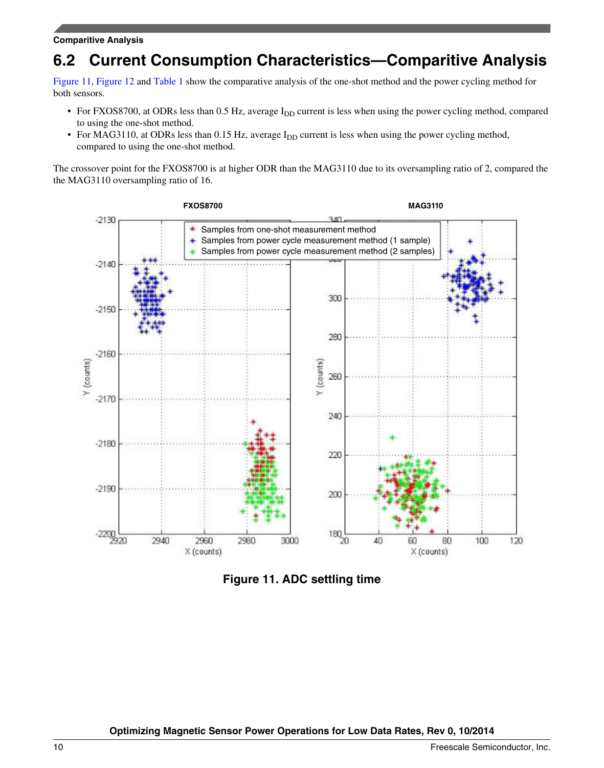## **6.2 Current Consumption Characteristics—Comparitive Analysis**

Figure 11, [Figure 12](#page-10-0) and [Table 1](#page-10-0) show the comparative analysis of the one-shot method and the power cycling method for both sensors.

- For FXOS8700, at ODRs less than 0.5 Hz, average  $I_{DD}$  current is less when using the power cycling method, compared to using the one-shot method.
- For MAG3110, at ODRs less than 0.15 Hz, average I<sub>DD</sub> current is less when using the power cycling method, compared to using the one-shot method.

The crossover point for the FXOS8700 is at higher ODR than the MAG3110 due to its oversampling ratio of 2, compared the the MAG3110 oversampling ratio of 16.



**Figure 11. ADC settling time**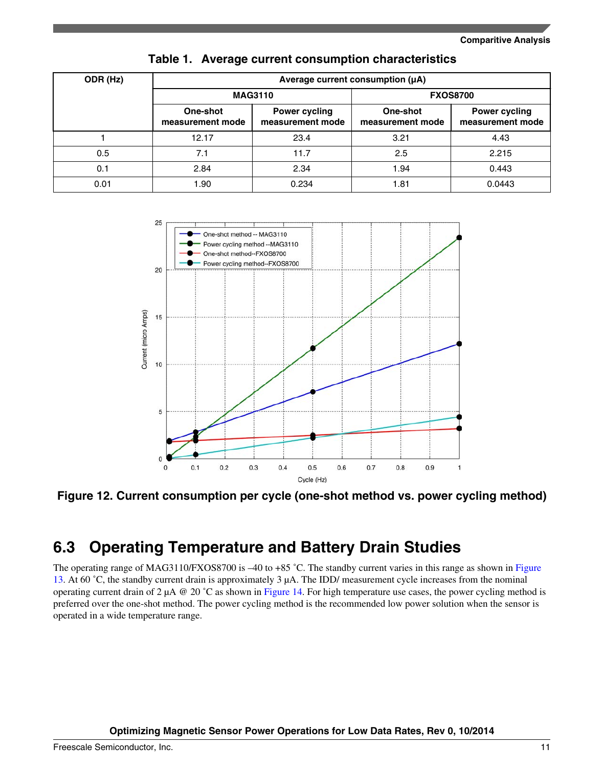<span id="page-10-0"></span>

| ODR (Hz) | Average current consumption (µA) |                                          |                              |                                          |  |  |  |  |  |  |
|----------|----------------------------------|------------------------------------------|------------------------------|------------------------------------------|--|--|--|--|--|--|
|          |                                  | <b>MAG3110</b>                           | <b>FXOS8700</b>              |                                          |  |  |  |  |  |  |
|          | One-shot<br>measurement mode     | <b>Power cycling</b><br>measurement mode | One-shot<br>measurement mode | <b>Power cycling</b><br>measurement mode |  |  |  |  |  |  |
|          | 12.17                            | 23.4                                     | 3.21                         | 4.43                                     |  |  |  |  |  |  |
| 0.5      | 7.1                              | 11.7                                     | 2.5                          | 2.215                                    |  |  |  |  |  |  |
| 0.1      | 2.84                             | 2.34                                     | 1.94                         | 0.443                                    |  |  |  |  |  |  |
| 0.01     | 1.90                             | 0.234                                    | 1.81                         | 0.0443                                   |  |  |  |  |  |  |

#### **Table 1. Average current consumption characteristics**



**Figure 12. Current consumption per cycle (one-shot method vs. power cycling method)**

## **6.3 Operating Temperature and Battery Drain Studies**

The operating range of MAG3110/FXOS8700 is –40 to +85 °C. The standby current varies in this range as shown in [Figure](#page-11-0) [13](#page-11-0). At 60 ˚C, the standby current drain is approximately 3 µA. The IDD/ measurement cycle increases from the nominal operating current drain of 2  $\mu$ A @ 20 °C as shown in [Figure 14](#page-11-0). For high temperature use cases, the power cycling method is preferred over the one-shot method. The power cycling method is the recommended low power solution when the sensor is operated in a wide temperature range.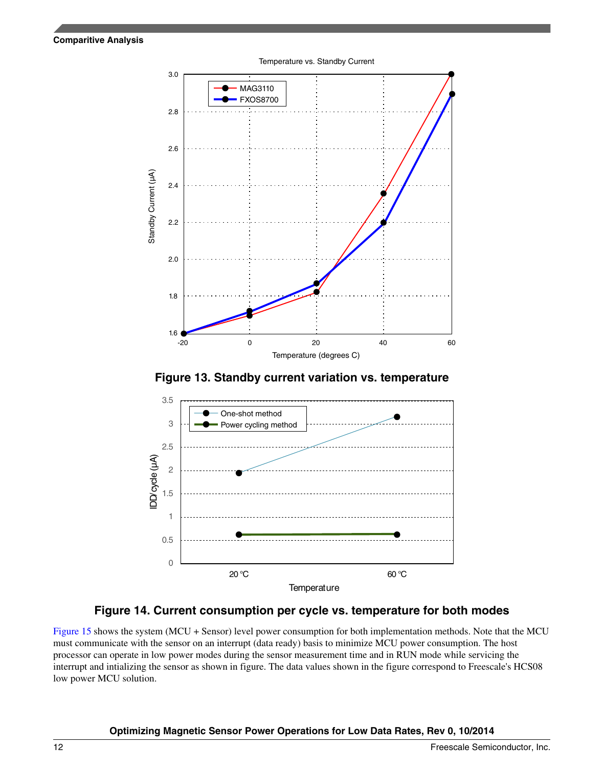<span id="page-11-0"></span>





### **Figure 14. Current consumption per cycle vs. temperature for both modes**

[Figure 15](#page-12-0) shows the system (MCU + Sensor) level power consumption for both implementation methods. Note that the MCU must communicate with the sensor on an interrupt (data ready) basis to minimize MCU power consumption. The host processor can operate in low power modes during the sensor measurement time and in RUN mode while servicing the interrupt and intializing the sensor as shown in figure. The data values shown in the figure correspond to Freescale's HCS08 low power MCU solution.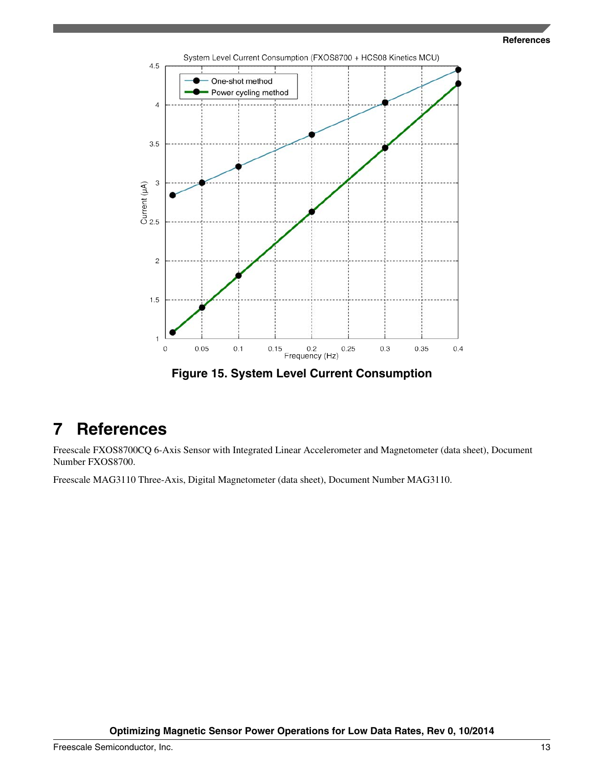

<span id="page-12-0"></span>

**Figure 15. System Level Current Consumption**

## **7 References**

Freescale FXOS8700CQ 6-Axis Sensor with Integrated Linear Accelerometer and Magnetometer (data sheet), Document Number FXOS8700.

Freescale MAG3110 Three-Axis, Digital Magnetometer (data sheet), Document Number MAG3110.